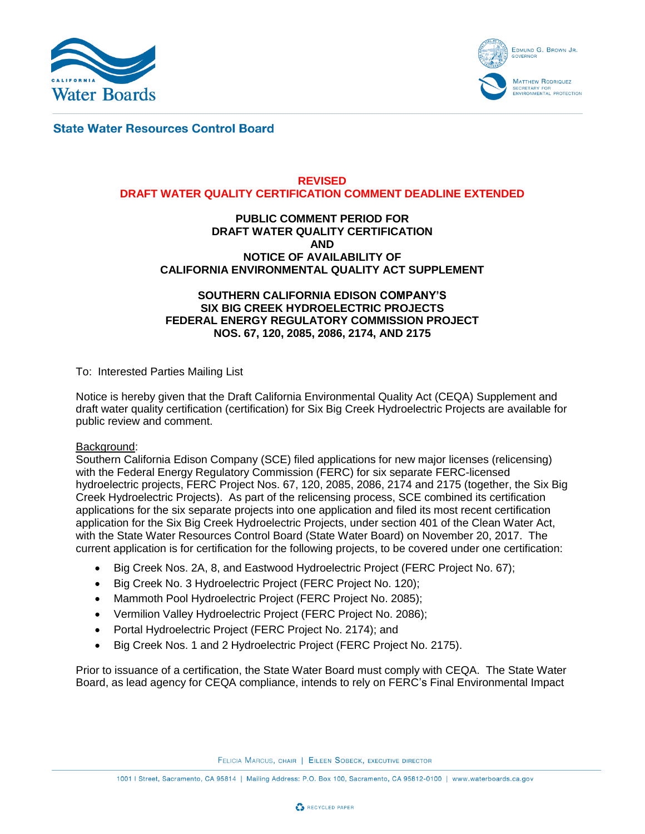



**State Water Resources Control Board** 

#### **REVISED DRAFT WATER QUALITY CERTIFICATION COMMENT DEADLINE EXTENDED**

#### **PUBLIC COMMENT PERIOD FOR DRAFT WATER QUALITY CERTIFICATION AND NOTICE OF AVAILABILITY OF CALIFORNIA ENVIRONMENTAL QUALITY ACT SUPPLEMENT**

## **SOUTHERN CALIFORNIA EDISON COMPANY'S SIX BIG CREEK HYDROELECTRIC PROJECTS FEDERAL ENERGY REGULATORY COMMISSION PROJECT NOS. 67, 120, 2085, 2086, 2174, AND 2175**

To: Interested Parties Mailing List

Notice is hereby given that the Draft California Environmental Quality Act (CEQA) Supplement and draft water quality certification (certification) for Six Big Creek Hydroelectric Projects are available for public review and comment.

### Background:

Southern California Edison Company (SCE) filed applications for new major licenses (relicensing) with the Federal Energy Regulatory Commission (FERC) for six separate FERC-licensed hydroelectric projects, FERC Project Nos. 67, 120, 2085, 2086, 2174 and 2175 (together, the Six Big Creek Hydroelectric Projects). As part of the relicensing process, SCE combined its certification applications for the six separate projects into one application and filed its most recent certification application for the Six Big Creek Hydroelectric Projects, under section 401 of the Clean Water Act, with the State Water Resources Control Board (State Water Board) on November 20, 2017. The current application is for certification for the following projects, to be covered under one certification:

- Big Creek Nos. 2A, 8, and Eastwood Hydroelectric Project (FERC Project No. 67);
- Big Creek No. 3 Hydroelectric Project (FERC Project No. 120);
- Mammoth Pool Hydroelectric Project (FERC Project No. 2085);
- Vermilion Valley Hydroelectric Project (FERC Project No. 2086);
- Portal Hydroelectric Project (FERC Project No. 2174); and
- Big Creek Nos. 1 and 2 Hydroelectric Project (FERC Project No. 2175).

Prior to issuance of a certification, the State Water Board must comply with CEQA. The State Water Board, as lead agency for CEQA compliance, intends to rely on FERC's Final Environmental Impact

FELICIA MARCUS, CHAIR | EILEEN SOBECK, EXECUTIVE DIRECTOR

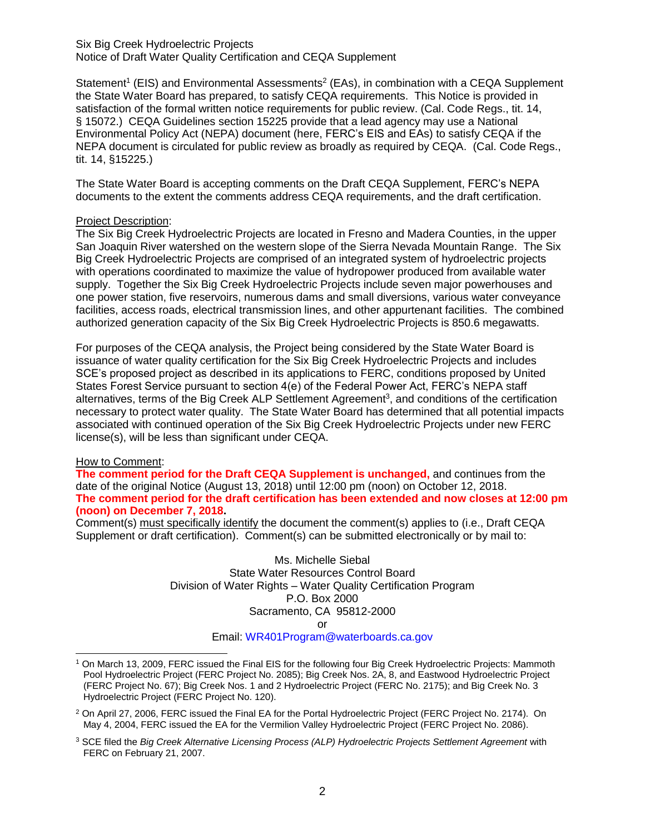Six Big Creek Hydroelectric Projects Notice of Draft Water Quality Certification and CEQA Supplement

Statement<sup>1</sup> (EIS) and Environmental Assessments<sup>2</sup> (EAs), in combination with a CEQA Supplement the State Water Board has prepared, to satisfy CEQA requirements. This Notice is provided in satisfaction of the formal written notice requirements for public review. (Cal. Code Regs., tit. 14, § 15072.) CEQA Guidelines section 15225 provide that a lead agency may use a National Environmental Policy Act (NEPA) document (here, FERC's EIS and EAs) to satisfy CEQA if the NEPA document is circulated for public review as broadly as required by CEQA. (Cal. Code Regs., tit. 14, §15225.)

The State Water Board is accepting comments on the Draft CEQA Supplement, FERC's NEPA documents to the extent the comments address CEQA requirements, and the draft certification.

### Project Description:

The Six Big Creek Hydroelectric Projects are located in Fresno and Madera Counties, in the upper San Joaquin River watershed on the western slope of the Sierra Nevada Mountain Range. The Six Big Creek Hydroelectric Projects are comprised of an integrated system of hydroelectric projects with operations coordinated to maximize the value of hydropower produced from available water supply. Together the Six Big Creek Hydroelectric Projects include seven major powerhouses and one power station, five reservoirs, numerous dams and small diversions, various water conveyance facilities, access roads, electrical transmission lines, and other appurtenant facilities. The combined authorized generation capacity of the Six Big Creek Hydroelectric Projects is 850.6 megawatts.

For purposes of the CEQA analysis, the Project being considered by the State Water Board is issuance of water quality certification for the Six Big Creek Hydroelectric Projects and includes SCE's proposed project as described in its applications to FERC, conditions proposed by United States Forest Service pursuant to section 4(e) of the Federal Power Act, FERC's NEPA staff alternatives, terms of the Big Creek ALP Settlement Agreement<sup>3</sup>, and conditions of the certification necessary to protect water quality. The State Water Board has determined that all potential impacts associated with continued operation of the Six Big Creek Hydroelectric Projects under new FERC license(s), will be less than significant under CEQA.

# How to Comment:

**The comment period for the Draft CEQA Supplement is unchanged,** and continues from the date of the original Notice (August 13, 2018) until 12:00 pm (noon) on October 12, 2018. **The comment period for the draft certification has been extended and now closes at 12:00 pm (noon) on December 7, 2018.**

Comment(s) must specifically identify the document the comment(s) applies to (i.e., Draft CEQA Supplement or draft certification). Comment(s) can be submitted electronically or by mail to:

> Ms. Michelle Siebal State Water Resources Control Board Division of Water Rights – Water Quality Certification Program P.O. Box 2000 Sacramento, CA 95812-2000 or

Email: [WR401Program@waterboards.ca.gov](mailto:WR401Program@waterboards.ca.gov)

<sup>1</sup> On March 13, 2009, FERC issued the Final EIS for the following four Big Creek Hydroelectric Projects: Mammoth Pool Hydroelectric Project (FERC Project No. 2085); Big Creek Nos. 2A, 8, and Eastwood Hydroelectric Project (FERC Project No. 67); Big Creek Nos. 1 and 2 Hydroelectric Project (FERC No. 2175); and Big Creek No. 3 Hydroelectric Project (FERC Project No. 120).

<sup>2</sup> On April 27, 2006, FERC issued the Final EA for the Portal Hydroelectric Project (FERC Project No. 2174). On May 4, 2004, FERC issued the EA for the Vermilion Valley Hydroelectric Project (FERC Project No. 2086).

<sup>3</sup> SCE filed the *Big Creek Alternative Licensing Process (ALP) Hydroelectric Projects Settlement Agreement* with FERC on February 21, 2007.